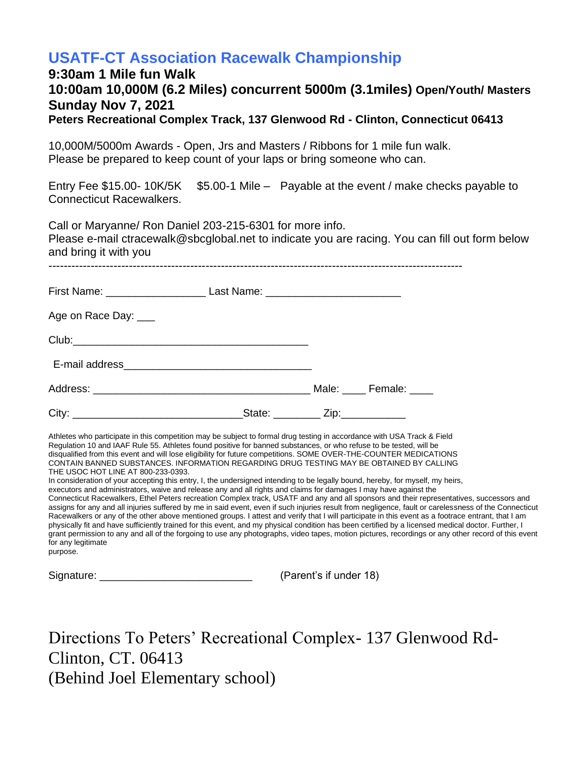## **USATF-CT Association Racewalk Championship**

## **9:30am 1 Mile fun Walk 10:00am 10,000M (6.2 Miles) concurrent 5000m (3.1miles) Open/Youth/ Masters Sunday Nov 7, 2021 Peters Recreational Complex Track, 137 Glenwood Rd - Clinton, Connecticut 06413**

10,000M/5000m Awards - Open, Jrs and Masters / Ribbons for 1 mile fun walk. Please be prepared to keep count of your laps or bring someone who can.

Entry Fee \$15.00- 10K/5K \$5.00-1 Mile – Payable at the event / make checks payable to Connecticut Racewalkers.

Call or Maryanne/ Ron Daniel 203-215-6301 for more info.

Please e-mail [ctracewalk@sbcglobal.net](mailto:ctracewalk@sbcglobal.net) to indicate you are racing. You can fill out form below and bring it with you

------------------------------------------------------------------------------------------------------------

| First Name: _____________________________Last Name: ____________________________ |                                     |                    |
|----------------------------------------------------------------------------------|-------------------------------------|--------------------|
| Age on Race Day: ___                                                             |                                     |                    |
|                                                                                  |                                     |                    |
|                                                                                  |                                     |                    |
|                                                                                  |                                     | Male: Female: ____ |
|                                                                                  | _State: __________ Zip:____________ |                    |

Athletes who participate in this competition may be subject to formal drug testing in accordance with USA Track & Field Regulation 10 and IAAF Rule 55. Athletes found positive for banned substances, or who refuse to be tested, will be disqualified from this event and will lose eligibility for future competitions. SOME OVER-THE-COUNTER MEDICATIONS CONTAIN BANNED SUBSTANCES. INFORMATION REGARDING DRUG TESTING MAY BE OBTAINED BY CALLING THE USOC HOT LINE AT 800-233-0393.

In consideration of your accepting this entry, I, the undersigned intending to be legally bound, hereby, for myself, my heirs, executors and administrators, waive and release any and all rights and claims for damages I may have against the

Connecticut Racewalkers, Ethel Peters recreation Complex track, USATF and any and all sponsors and their representatives, successors and assigns for any and all injuries suffered by me in said event, even if such injuries result from negligence, fault or carelessness of the Connecticut Racewalkers or any of the other above mentioned groups. I attest and verify that I will participate in this event as a footrace entrant, that I am physically fit and have sufficiently trained for this event, and my physical condition has been certified by a licensed medical doctor. Further, I grant permission to any and all of the forgoing to use any photographs, video tapes, motion pictures, recordings or any other record of this event for any legitimate

purpose.

Signature: \_\_\_\_\_\_\_\_\_\_\_\_\_\_\_\_\_\_\_\_\_\_\_\_\_\_ (Parent's if under 18)

Directions To Peters' Recreational Complex- 137 Glenwood Rd-Clinton, CT. 06413 (Behind Joel Elementary school)